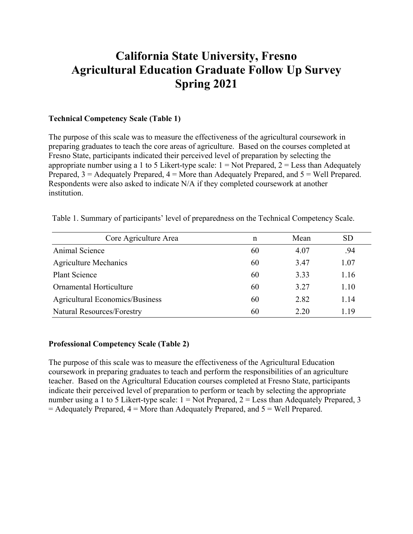# **California State University, Fresno Agricultural Education Graduate Follow Up Survey Spring 2021**

### **Technical Competency Scale (Table 1)**

The purpose of this scale was to measure the effectiveness of the agricultural coursework in preparing graduates to teach the core areas of agriculture. Based on the courses completed at Fresno State, participants indicated their perceived level of preparation by selecting the appropriate number using a 1 to 5 Likert-type scale:  $1 = Not$  Prepared,  $2 =$  Less than Adequately Prepared,  $3 =$  Adequately Prepared,  $4 =$  More than Adequately Prepared, and  $5 =$  Well Prepared. Respondents were also asked to indicate N/A if they completed coursework at another institution.

| Core Agriculture Area                  | n  | Mean | SD   |
|----------------------------------------|----|------|------|
| Animal Science                         | 60 | 4.07 | .94  |
| <b>Agriculture Mechanics</b>           | 60 | 3.47 | 1.07 |
| <b>Plant Science</b>                   | 60 | 3.33 | 1.16 |
| <b>Ornamental Horticulture</b>         | 60 | 3.27 | 1.10 |
| <b>Agricultural Economics/Business</b> | 60 | 2.82 | 1.14 |
| <b>Natural Resources/Forestry</b>      | 60 | 2.20 | 1.19 |

Table 1. Summary of participants' level of preparedness on the Technical Competency Scale.

#### **Professional Competency Scale (Table 2)**

The purpose of this scale was to measure the effectiveness of the Agricultural Education coursework in preparing graduates to teach and perform the responsibilities of an agriculture teacher. Based on the Agricultural Education courses completed at Fresno State, participants indicate their perceived level of preparation to perform or teach by selecting the appropriate number using a 1 to 5 Likert-type scale:  $1 = Not$  Prepared,  $2 =$  Less than Adequately Prepared, 3  $=$  Adequately Prepared,  $4$  = More than Adequately Prepared, and  $5$  = Well Prepared.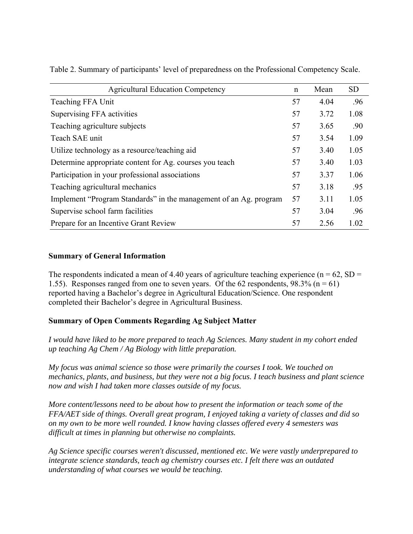| <b>Agricultural Education Competency</b>                          | n  | Mean | <b>SD</b> |
|-------------------------------------------------------------------|----|------|-----------|
| Teaching FFA Unit                                                 | 57 | 4.04 | .96       |
| Supervising FFA activities                                        | 57 | 3.72 | 1.08      |
| Teaching agriculture subjects                                     | 57 | 3.65 | .90       |
| Teach SAE unit                                                    | 57 | 3.54 | 1.09      |
| Utilize technology as a resource/teaching aid                     | 57 | 3.40 | 1.05      |
| Determine appropriate content for Ag. courses you teach           | 57 | 3.40 | 1.03      |
| Participation in your professional associations                   | 57 | 3.37 | 1.06      |
| Teaching agricultural mechanics                                   | 57 | 3.18 | .95       |
| Implement "Program Standards" in the management of an Ag. program | 57 | 3.11 | 1.05      |
| Supervise school farm facilities                                  | 57 | 3.04 | .96       |
| Prepare for an Incentive Grant Review                             | 57 | 2.56 | 1.02      |

Table 2. Summary of participants' level of preparedness on the Professional Competency Scale.

### **Summary of General Information**

The respondents indicated a mean of 4.40 years of agriculture teaching experience ( $n = 62$ , SD = 1.55). Responses ranged from one to seven years. Of the 62 respondents,  $98.3\%$  (n = 61) reported having a Bachelor's degree in Agricultural Education/Science. One respondent completed their Bachelor's degree in Agricultural Business.

# **Summary of Open Comments Regarding Ag Subject Matter**

*I would have liked to be more prepared to teach Ag Sciences. Many student in my cohort ended up teaching Ag Chem / Ag Biology with little preparation.* 

*My focus was animal science so those were primarily the courses I took. We touched on mechanics, plants, and business, but they were not a big focus. I teach business and plant science now and wish I had taken more classes outside of my focus.* 

*More content/lessons need to be about how to present the information or teach some of the FFA/AET side of things. Overall great program, I enjoyed taking a variety of classes and did so on my own to be more well rounded. I know having classes offered every 4 semesters was difficult at times in planning but otherwise no complaints.* 

*Ag Science specific courses weren't discussed, mentioned etc. We were vastly underprepared to integrate science standards, teach ag chemistry courses etc. I felt there was an outdated understanding of what courses we would be teaching.*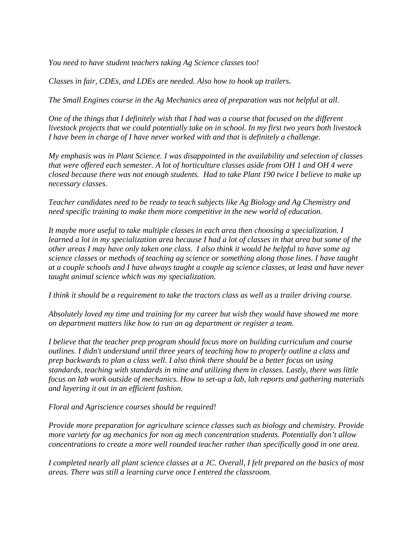*You need to have student teachers taking Ag Science classes too!* 

*Classes in fair, CDEs, and LDEs are needed. Also how to hook up trailers.* 

*The Small Engines course in the Ag Mechanics area of preparation was not helpful at all.* 

*One of the things that I definitely wish that I had was a course that focused on the different livestock projects that we could potentially take on in school. In my first two years both livestock I have been in charge of I have never worked with and that is definitely a challenge.* 

*My emphasis was in Plant Science. I was disappointed in the availability and selection of classes that were offered each semester. A lot of horticulture classes aside from OH 1 and OH 4 were closed because there was not enough students. Had to take Plant 190 twice I believe to make up necessary classes.* 

*Teacher candidates need to be ready to teach subjects like Ag Biology and Ag Chemistry and need specific training to make them more competitive in the new world of education.* 

*It maybe more useful to take multiple classes in each area then choosing a specialization. I learned a lot in my specialization area because I had a lot of classes in that area but some of the other areas I may have only taken one class. I also think it would be helpful to have some ag science classes or methods of teaching ag science or something along those lines. I have taught at a couple schools and I have always taught a couple ag science classes, at least and have never taught animal science which was my specialization.* 

*I think it should be a requirement to take the tractors class as well as a trailer driving course.* 

*Absolutely loved my time and training for my career but wish they would have showed me more on department matters like how to run an ag department or register a team.* 

*I believe that the teacher prep program should focus more on building curriculum and course outlines. I didn't understand until three years of teaching how to properly outline a class and prep backwards to plan a class well. I also think there should be a better focus on using standards, teaching with standards in mine and utilizing them in classes. Lastly, there was little focus on lab work outside of mechanics. How to set-up a lab, lab reports and gathering materials and layering it out in an efficient fashion.* 

*Floral and Agriscience courses should be required!* 

*Provide more preparation for agriculture science classes such as biology and chemistry. Provide more variety for ag mechanics for non ag mech concentration students. Potentially don't allow concentrations to create a more well rounded teacher rather than specifically good in one area.* 

*I completed nearly all plant science classes at a JC. Overall, I felt prepared on the basics of most areas. There was still a learning curve once I entered the classroom.*